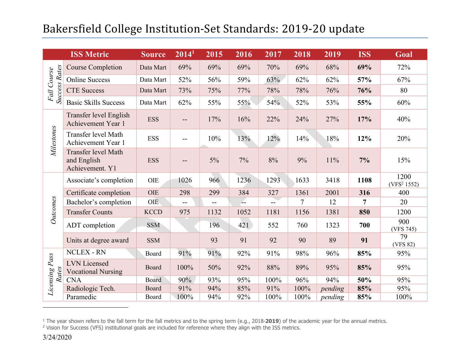| <b>ISS Metric</b>            |                                                       | <b>Source</b> | 2014 <sup>1</sup>        | 2015  | 2016 | 2017  | 2018    | 2019    | <b>ISS</b>     | Goal                            |  |
|------------------------------|-------------------------------------------------------|---------------|--------------------------|-------|------|-------|---------|---------|----------------|---------------------------------|--|
| Fall Course<br>Success Rates | <b>Course Completion</b>                              | Data Mart     | 69%                      | 69%   | 69%  | 70%   | 69%     | 68%     | 69%            | 72%                             |  |
|                              | <b>Online Success</b>                                 | Data Mart     | 52%                      | 56%   | 59%  | 63%   | 62%     | 62%     | 57%            | 67%                             |  |
|                              | <b>CTE Success</b>                                    | Data Mart     | 73%                      | 75%   | 77%  | 78%   | 78%     | 76%     | 76%            | 80                              |  |
|                              | <b>Basic Skills Success</b>                           | Data Mart     | 62%                      | 55%   | 55%  | 54%   | 52%     | 53%     | 55%            | 60%                             |  |
| Milestones                   | Transfer level English<br>Achievement Year 1          | <b>ESS</b>    | $\overline{\phantom{m}}$ | 17%   | 16%  | 22%   | 24%     | 27%     | 17%            | 40%                             |  |
|                              | Transfer level Math<br>Achievement Year 1             | <b>ESS</b>    | $\overline{\phantom{m}}$ | 10%   | 13%  | 12%   | 14%     | 18%     | 12%            | 20%                             |  |
|                              | Transfer level Math<br>and English<br>Achievement. Y1 | <b>ESS</b>    | --                       | $5\%$ | 7%   | $8\%$ | 9%      | 11%     | 7%             | 15%                             |  |
| Outcomes                     | Associate's completion                                | OIE           | 1026                     | 966   | 1236 | 1293  | 1633    | 3418    | 1108           | 1200<br>(VFS <sup>2</sup> 1552) |  |
|                              | Certificate completion                                | OIE           | 298                      | 299   | 384  | 327   | 1361    | 2001    | 316            | 400                             |  |
|                              | Bachelor's completion                                 | OIE           | $\overline{\phantom{a}}$ | $- -$ | بند  | $- -$ | $\tau$  | 12      | $\overline{7}$ | 20                              |  |
|                              | <b>Transfer Counts</b>                                | <b>KCCD</b>   | 975                      | 1132  | 1052 | 1181  | 1156    | 1381    | 850            | 1200                            |  |
|                              | ADT completion                                        | <b>SSM</b>    |                          | 196   | 421  | 552   | 760     | 1323    | 700            | 900<br>(VFS 745)                |  |
|                              | Units at degree award                                 | <b>SSM</b>    |                          | 93    | 91   | 92    | 90      | 89      | 91             | 79<br>(VFS 82)                  |  |
|                              | <b>NCLEX - RN</b>                                     | Board         | 91%                      | 91%   | 92%  | 91%   | 98%     | 96%     | 85%            | 95%                             |  |
| Licensing Pass<br>Rates      | <b>LVN</b> Licensed<br><b>Vocational Nursing</b>      | Board         | 100%                     | 50%   | 92%  | 88%   | 89%     | 95%     | 85%            | 95%                             |  |
|                              | <b>CNA</b>                                            | Board         | 90%                      | 93%   | 95%  | 100%  | 96%     | 94%     | 50%            | 95%                             |  |
|                              | Radiologic Tech.                                      | Board         | 91%                      | 94%   | 85%  | 91%   | $100\%$ | pending | 85%            | 95%                             |  |
|                              | Paramedic                                             | Board         | 100%                     | 94%   | 92%  | 100%  | 100%    | pending | 85%            | 100%                            |  |

 $1$  The year shown refers to the fall term for the fall metrics and to the spring term (e.g., 2018-2019) of the academic year for the annual metrics.

<sup>&</sup>lt;sup>2</sup> Vision for Success (VFS) institutional goals are included for reference where they align with the ISS metrics.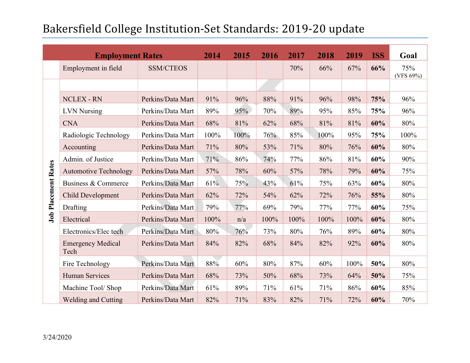| <b>Employment Rates</b>    |                                  |                   | 2014 | 2015 | 2016 | 2017   | 2018 | 2019 | <b>ISS</b> | Goal             |
|----------------------------|----------------------------------|-------------------|------|------|------|--------|------|------|------------|------------------|
|                            | Employment in field              | <b>SSM/CTEOS</b>  |      |      |      | 70%    | 66%  | 67%  | 66%        | 75%<br>(VFS 69%) |
| <b>Job Placement Rates</b> |                                  |                   |      |      |      |        |      |      |            |                  |
|                            | <b>NCLEX - RN</b>                | Perkins/Data Mart | 91%  | 96%  | 88%  | 91%    | 96%  | 98%  | 75%        | 96%              |
|                            | <b>LVN</b> Nursing               | Perkins/Data Mart | 89%  | 95%  | 70%  | 89%    | 95%  | 85%  | 75%        | 96%              |
|                            | <b>CNA</b>                       | Perkins/Data Mart | 68%  | 81%  | 62%  | 68%    | 81%  | 81%  | 60%        | 80%              |
|                            | Radiologic Technology            | Perkins/Data Mart | 100% | 100% | 76%  | 85%    | 100% | 95%  | 75%        | 100%             |
|                            | Accounting                       | Perkins/Data Mart | 71%  | 80%  | 53%  | $71\%$ | 80%  | 76%  | 60%        | 80%              |
|                            | Admin. of Justice                | Perkins/Data Mart | 71%  | 86%  | 74%  | 77%    | 86%  | 81%  | 60%        | 90%              |
|                            | <b>Automotive Technology</b>     | Perkins/Data Mart | 57%  | 78%  | 60%  | 57%    | 78%  | 79%  | 60%        | 75%              |
|                            | Business & Commerce              | Perkins/Data Mart | 61%  | 75%  | 43%  | 61%    | 75%  | 63%  | 60%        | 80%              |
|                            | Child Development                | Perkins/Data Mart | 62%  | 72%  | 54%  | 62%    | 72%  | 76%  | 55%        | 80%              |
|                            | Drafting                         | Perkins/Data Mart | 79%  | 77%  | 69%  | 79%    | 77%  | 77%  | 60%        | 75%              |
|                            | Electrical                       | Perkins/Data Mart | 100% | n/a  | 100% | 100%   | 100% | 100% | 60%        | 80%              |
|                            | Electronics/Elec tech            | Perkins/Data Mart | 80%  | 76%  | 73%  | 80%    | 76%  | 89%  | 60%        | 80%              |
|                            | <b>Emergency Medical</b><br>Tech | Perkins/Data Mart | 84%  | 82%  | 68%  | 84%    | 82%  | 92%  | 60%        | 80%              |
|                            | Fire Technology                  | Perkins/Data Mart | 88%  | 60%  | 80%  | 87%    | 60%  | 100% | 50%        | 80%              |
|                            | <b>Human Services</b>            | Perkins/Data Mart | 68%  | 73%  | 50%  | 68%    | 73%  | 64%  | 50%        | 75%              |
|                            | Machine Tool/ Shop               | Perkins/Data Mart | 61%  | 89%  | 71%  | 61%    | 71%  | 86%  | 60%        | 85%              |
|                            | <b>Welding and Cutting</b>       | Perkins/Data Mart | 82%  | 71%  | 83%  | 82%    | 71%  | 72%  | 60%        | 70%              |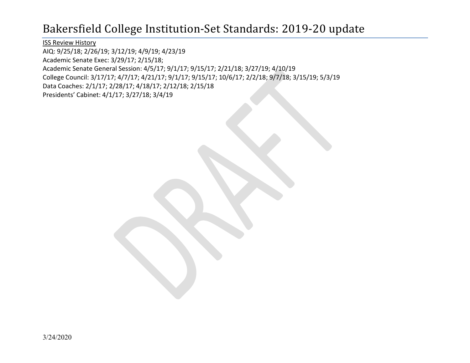ISS Review History

AIQ: 9/25/18; 2/26/19; 3/12/19; 4/9/19; 4/23/19

Academic Senate Exec: 3/29/17; 2/15/18;

Academic Senate General Session: 4/5/17; 9/1/17; 9/15/17; 2/21/18; 3/27/19; 4/10/19

College Council: 3/17/17; 4/7/17; 4/21/17; 9/1/17; 9/15/17; 10/6/17; 2/2/18; 9/7/18; 3/15/19; 5/3/19

Data Coaches: 2/1/17; 2/28/17; 4/18/17; 2/12/18; 2/15/18

Presidents' Cabinet: 4/1/17; 3/27/18; 3/4/19